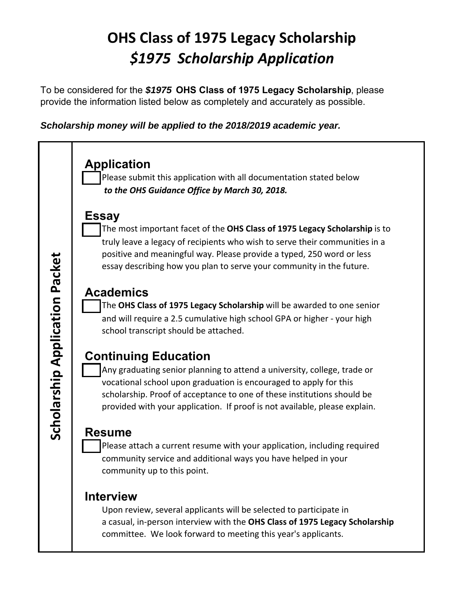## **OHS Class of 1975 Legacy Scholarship** *\$1975 Scholarship Application*

To be considered for the *\$1975* **OHS Class of 1975 Legacy Scholarship**, please provide the information listed below as completely and accurately as possible.

*Scholarship money will be applied to the 2018/2019 academic year.*